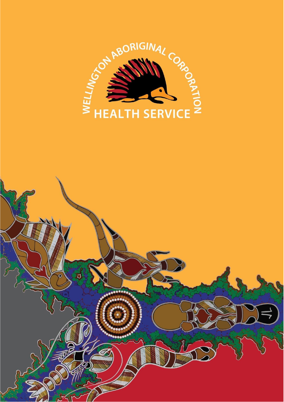

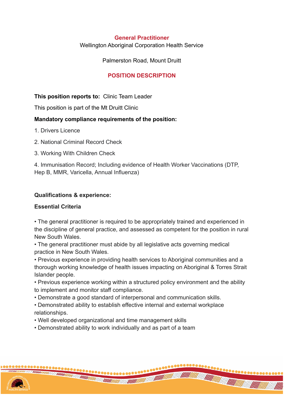#### **General Practitioner**

Wellington Aboriginal Corporation Health Service

Palmerston Road, Mount Druitt

## **POSITION DESCRIPTION**

## **This position reports to:** Clinic Team Leader

This position is part of the Mt Druitt Clinic

#### **Mandatory compliance requirements of the position:**

- 1. Drivers Licence
- 2. National Criminal Record Check
- 3. Working With Children Check

4. Immunisation Record; Including evidence of Health Worker Vaccinations (DTP, Hep B, MMR, Varicella, Annual Influenza)

#### **Qualifications & experience:**

#### **Essential Criteria**

• The general practitioner is required to be appropriately trained and experienced in the discipline of general practice, and assessed as competent for the position in rural New South Wales.

• The general practitioner must abide by all legislative acts governing medical practice in New South Wales.

• Previous experience in providing health services to Aboriginal communities and a thorough working knowledge of health issues impacting on Aboriginal & Torres Strait Islander people.

• Previous experience working within a structured policy environment and the ability to implement and monitor staff compliance.

- Demonstrate a good standard of interpersonal and communication skills.
- Demonstrated ability to establish effective internal and external workplace relationships.
- Well developed organizational and time management skills
- Demonstrated ability to work individually and as part of a team

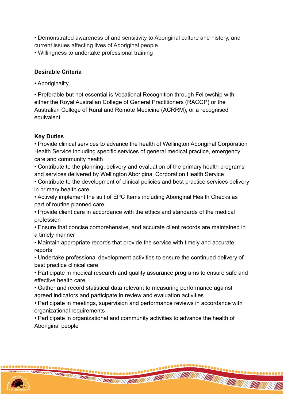• Demonstrated awareness of and sensitivity to Aboriginal culture and history, and current issues affecting lives of Aboriginal people

• Willingness to undertake professional training

# **Desirable Criteria**

• Aboriginality

• Preferable but not essential is Vocational Recognition through Fellowship with either the Royal Australian College of General Practitioners (RACGP) or the Australian College of Rural and Remote Medicine (ACRRM), or a recognised equivalent

# **Key Duties**

• Provide clinical services to advance the health of Wellington Aboriginal Corporation Health Service including specific services of general medical practice, emergency care and community health

• Contribute to the planning, delivery and evaluation of the primary health programs and services delivered by Wellington Aboriginal Corporation Health Service

• Contribute to the development of clinical policies and best practice services delivery in primary health care

• Actively implement the suit of EPC Items including Aboriginal Health Checks as part of routine planned care

• Provide client care in accordance with the ethics and standards of the medical profession

• Ensure that concise comprehensive, and accurate client records are maintained in a timely manner

• Maintain appropriate records that provide the service with timely and accurate reports

• Undertake professional development activities to ensure the continued delivery of best practice clinical care

• Participate in medical research and quality assurance programs to ensure safe and effective health care

• Gather and record statistical data relevant to measuring performance against agreed indicators and participate in review and evaluation activities

• Participate in meetings, supervision and performance reviews in accordance with organizational requirements

 $\bullet\bullet\bullet\bullet\bullet\bullet\bullet$ 

**THE CONTRACTOR** 

• Participate in organizational and community activities to advance the health of Aboriginal people